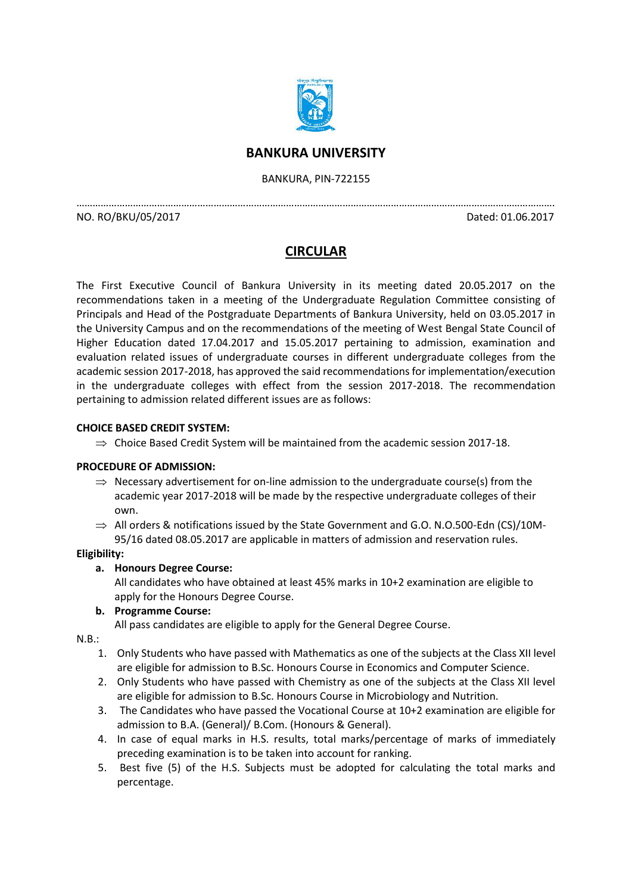

# **BANKURA UNIVERSITY**

BANKURA, PIN-722155

…………………………………………………………………………………………………………………………………………………………….

NO. RO/BKU/05/2017 Dated: 01.06.2017

# **CIRCULAR**

The First Executive Council of Bankura University in its meeting dated 20.05.2017 on the recommendations taken in a meeting of the Undergraduate Regulation Committee consisting of Principals and Head of the Postgraduate Departments of Bankura University, held on 03.05.2017 in the University Campus and on the recommendations of the meeting of West Bengal State Council of Higher Education dated 17.04.2017 and 15.05.2017 pertaining to admission, examination and evaluation related issues of undergraduate courses in different undergraduate colleges from the academic session 2017-2018, has approved the said recommendations for implementation/execution in the undergraduate colleges with effect from the session 2017-2018. The recommendation pertaining to admission related different issues are as follows:

# **CHOICE BASED CREDIT SYSTEM:**

 $\Rightarrow$  Choice Based Credit System will be maintained from the academic session 2017-18.

# **PROCEDURE OF ADMISSION:**

 $\Rightarrow$  Necessary advertisement for on-line admission to the undergraduate course(s) from the academic year 2017-2018 will be made by the respective undergraduate colleges of their own.

 $\Rightarrow$  All orders & notifications issued by the State Government and G.O. N.O.500-Edn (CS)/10M-95/16 dated 08.05.2017 are applicable in matters of admission and reservation rules.

# **Eligibility:**

# **a. Honours Degree Course:**

All candidates who have obtained at least 45% marks in 10+2 examination are eligible to apply for the Honours Degree Course.

# **b. Programme Course:**

All pass candidates are eligible to apply for the General Degree Course.

N.B.:

- 1. Only Students who have passed with Mathematics as one of the subjects at the Class XII level are eligible for admission to B.Sc. Honours Course in Economics and Computer Science.
- 2. Only Students who have passed with Chemistry as one of the subjects at the Class XII level are eligible for admission to B.Sc. Honours Course in Microbiology and Nutrition.
- 3. The Candidates who have passed the Vocational Course at 10+2 examination are eligible for admission to B.A. (General)/ B.Com. (Honours & General).
- 4. In case of equal marks in H.S. results, total marks/percentage of marks of immediately preceding examination is to be taken into account for ranking.
- 5. Best five (5) of the H.S. Subjects must be adopted for calculating the total marks and percentage.